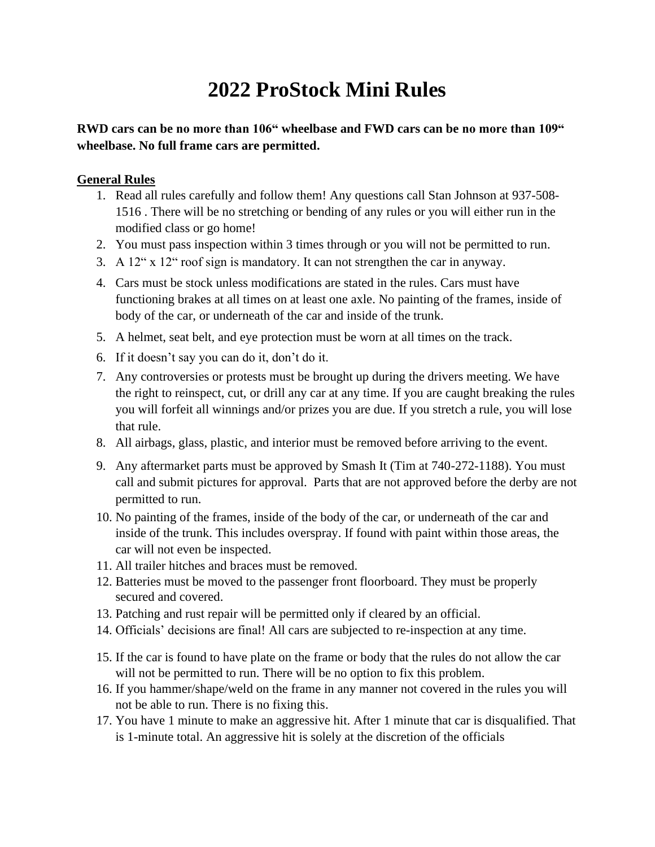# **2022 ProStock Mini Rules**

**RWD cars can be no more than 106" wheelbase and FWD cars can be no more than 109" wheelbase. No full frame cars are permitted.** 

#### **General Rules**

- 1. Read all rules carefully and follow them! Any questions call Stan Johnson at 937-508- 1516 . There will be no stretching or bending of any rules or you will either run in the modified class or go home!
- 2. You must pass inspection within 3 times through or you will not be permitted to run.
- 3. A 12" x 12" roof sign is mandatory. It can not strengthen the car in anyway.
- 4. Cars must be stock unless modifications are stated in the rules. Cars must have functioning brakes at all times on at least one axle. No painting of the frames, inside of body of the car, or underneath of the car and inside of the trunk.
- 5. A helmet, seat belt, and eye protection must be worn at all times on the track.
- 6. If it doesn't say you can do it, don't do it.
- 7. Any controversies or protests must be brought up during the drivers meeting. We have the right to reinspect, cut, or drill any car at any time. If you are caught breaking the rules you will forfeit all winnings and/or prizes you are due. If you stretch a rule, you will lose that rule.
- 8. All airbags, glass, plastic, and interior must be removed before arriving to the event.
- 9. Any aftermarket parts must be approved by Smash It (Tim at 740-272-1188). You must call and submit pictures for approval. Parts that are not approved before the derby are not permitted to run.
- 10. No painting of the frames, inside of the body of the car, or underneath of the car and inside of the trunk. This includes overspray. If found with paint within those areas, the car will not even be inspected.
- 11. All trailer hitches and braces must be removed.
- 12. Batteries must be moved to the passenger front floorboard. They must be properly secured and covered.
- 13. Patching and rust repair will be permitted only if cleared by an official.
- 14. Officials' decisions are final! All cars are subjected to re-inspection at any time.
- 15. If the car is found to have plate on the frame or body that the rules do not allow the car will not be permitted to run. There will be no option to fix this problem.
- 16. If you hammer/shape/weld on the frame in any manner not covered in the rules you will not be able to run. There is no fixing this.
- 17. You have 1 minute to make an aggressive hit. After 1 minute that car is disqualified. That is 1-minute total. An aggressive hit is solely at the discretion of the officials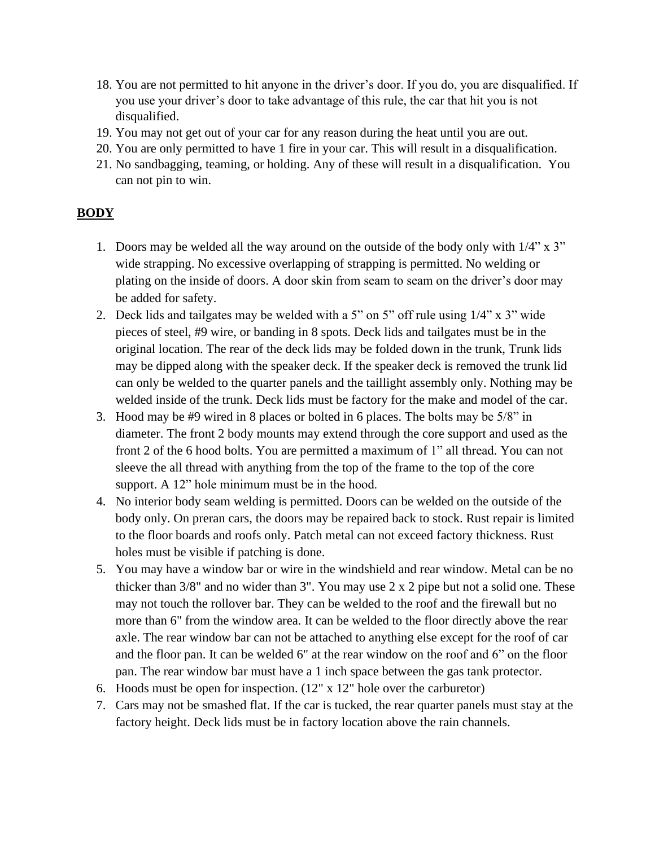- 18. You are not permitted to hit anyone in the driver's door. If you do, you are disqualified. If you use your driver's door to take advantage of this rule, the car that hit you is not disqualified.
- 19. You may not get out of your car for any reason during the heat until you are out.
- 20. You are only permitted to have 1 fire in your car. This will result in a disqualification.
- 21. No sandbagging, teaming, or holding. Any of these will result in a disqualification. You can not pin to win.

## **BODY**

- 1. Doors may be welded all the way around on the outside of the body only with 1/4" x 3" wide strapping. No excessive overlapping of strapping is permitted. No welding or plating on the inside of doors. A door skin from seam to seam on the driver's door may be added for safety.
- 2. Deck lids and tailgates may be welded with a 5" on 5" off rule using 1/4" x 3" wide pieces of steel, #9 wire, or banding in 8 spots. Deck lids and tailgates must be in the original location. The rear of the deck lids may be folded down in the trunk, Trunk lids may be dipped along with the speaker deck. If the speaker deck is removed the trunk lid can only be welded to the quarter panels and the taillight assembly only. Nothing may be welded inside of the trunk. Deck lids must be factory for the make and model of the car.
- 3. Hood may be #9 wired in 8 places or bolted in 6 places. The bolts may be 5/8" in diameter. The front 2 body mounts may extend through the core support and used as the front 2 of the 6 hood bolts. You are permitted a maximum of 1" all thread. You can not sleeve the all thread with anything from the top of the frame to the top of the core support. A 12" hole minimum must be in the hood.
- 4. No interior body seam welding is permitted. Doors can be welded on the outside of the body only. On preran cars, the doors may be repaired back to stock. Rust repair is limited to the floor boards and roofs only. Patch metal can not exceed factory thickness. Rust holes must be visible if patching is done.
- 5. You may have a window bar or wire in the windshield and rear window. Metal can be no thicker than 3/8" and no wider than 3". You may use 2 x 2 pipe but not a solid one. These may not touch the rollover bar. They can be welded to the roof and the firewall but no more than 6" from the window area. It can be welded to the floor directly above the rear axle. The rear window bar can not be attached to anything else except for the roof of car and the floor pan. It can be welded 6" at the rear window on the roof and 6" on the floor pan. The rear window bar must have a 1 inch space between the gas tank protector.
- 6. Hoods must be open for inspection. (12" x 12" hole over the carburetor)
- 7. Cars may not be smashed flat. If the car is tucked, the rear quarter panels must stay at the factory height. Deck lids must be in factory location above the rain channels.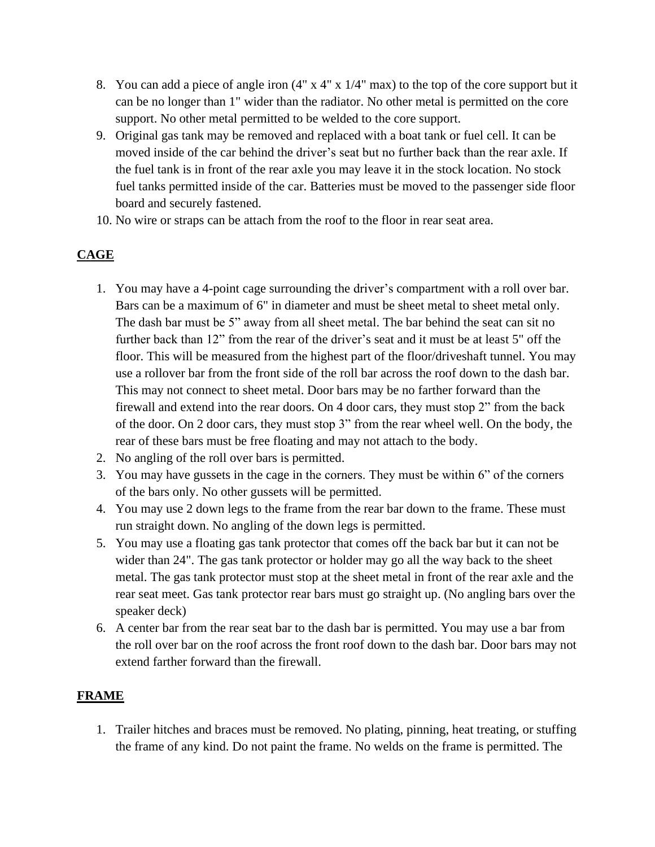- 8. You can add a piece of angle iron (4" x 4" x 1/4" max) to the top of the core support but it can be no longer than 1" wider than the radiator. No other metal is permitted on the core support. No other metal permitted to be welded to the core support.
- 9. Original gas tank may be removed and replaced with a boat tank or fuel cell. It can be moved inside of the car behind the driver's seat but no further back than the rear axle. If the fuel tank is in front of the rear axle you may leave it in the stock location. No stock fuel tanks permitted inside of the car. Batteries must be moved to the passenger side floor board and securely fastened.
- 10. No wire or straps can be attach from the roof to the floor in rear seat area.

# **CAGE**

- 1. You may have a 4-point cage surrounding the driver's compartment with a roll over bar. Bars can be a maximum of 6" in diameter and must be sheet metal to sheet metal only. The dash bar must be 5" away from all sheet metal. The bar behind the seat can sit no further back than 12" from the rear of the driver's seat and it must be at least 5" off the floor. This will be measured from the highest part of the floor/driveshaft tunnel. You may use a rollover bar from the front side of the roll bar across the roof down to the dash bar. This may not connect to sheet metal. Door bars may be no farther forward than the firewall and extend into the rear doors. On 4 door cars, they must stop 2" from the back of the door. On 2 door cars, they must stop 3" from the rear wheel well. On the body, the rear of these bars must be free floating and may not attach to the body.
- 2. No angling of the roll over bars is permitted.
- 3. You may have gussets in the cage in the corners. They must be within 6" of the corners of the bars only. No other gussets will be permitted.
- 4. You may use 2 down legs to the frame from the rear bar down to the frame. These must run straight down. No angling of the down legs is permitted.
- 5. You may use a floating gas tank protector that comes off the back bar but it can not be wider than 24". The gas tank protector or holder may go all the way back to the sheet metal. The gas tank protector must stop at the sheet metal in front of the rear axle and the rear seat meet. Gas tank protector rear bars must go straight up. (No angling bars over the speaker deck)
- 6. A center bar from the rear seat bar to the dash bar is permitted. You may use a bar from the roll over bar on the roof across the front roof down to the dash bar. Door bars may not extend farther forward than the firewall.

## **FRAME**

1. Trailer hitches and braces must be removed. No plating, pinning, heat treating, or stuffing the frame of any kind. Do not paint the frame. No welds on the frame is permitted. The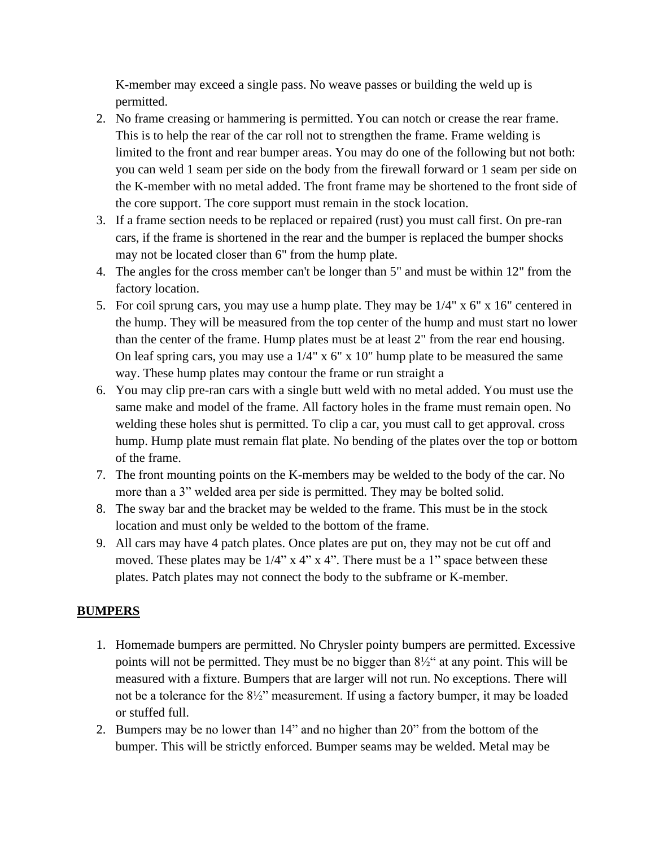K-member may exceed a single pass. No weave passes or building the weld up is permitted.

- 2. No frame creasing or hammering is permitted. You can notch or crease the rear frame. This is to help the rear of the car roll not to strengthen the frame. Frame welding is limited to the front and rear bumper areas. You may do one of the following but not both: you can weld 1 seam per side on the body from the firewall forward or 1 seam per side on the K-member with no metal added. The front frame may be shortened to the front side of the core support. The core support must remain in the stock location.
- 3. If a frame section needs to be replaced or repaired (rust) you must call first. On pre-ran cars, if the frame is shortened in the rear and the bumper is replaced the bumper shocks may not be located closer than 6" from the hump plate.
- 4. The angles for the cross member can't be longer than 5" and must be within 12" from the factory location.
- 5. For coil sprung cars, you may use a hump plate. They may be 1/4" x 6" x 16" centered in the hump. They will be measured from the top center of the hump and must start no lower than the center of the frame. Hump plates must be at least 2" from the rear end housing. On leaf spring cars, you may use a  $1/4$ " x 6" x 10" hump plate to be measured the same way. These hump plates may contour the frame or run straight a
- 6. You may clip pre-ran cars with a single butt weld with no metal added. You must use the same make and model of the frame. All factory holes in the frame must remain open. No welding these holes shut is permitted. To clip a car, you must call to get approval. cross hump. Hump plate must remain flat plate. No bending of the plates over the top or bottom of the frame.
- 7. The front mounting points on the K-members may be welded to the body of the car. No more than a 3" welded area per side is permitted. They may be bolted solid.
- 8. The sway bar and the bracket may be welded to the frame. This must be in the stock location and must only be welded to the bottom of the frame.
- 9. All cars may have 4 patch plates. Once plates are put on, they may not be cut off and moved. These plates may be  $1/4$ " x 4" x 4". There must be a 1" space between these plates. Patch plates may not connect the body to the subframe or K-member.

#### **BUMPERS**

- 1. Homemade bumpers are permitted. No Chrysler pointy bumpers are permitted. Excessive points will not be permitted. They must be no bigger than 8½" at any point. This will be measured with a fixture. Bumpers that are larger will not run. No exceptions. There will not be a tolerance for the  $8\frac{1}{2}$ " measurement. If using a factory bumper, it may be loaded or stuffed full.
- 2. Bumpers may be no lower than 14" and no higher than 20" from the bottom of the bumper. This will be strictly enforced. Bumper seams may be welded. Metal may be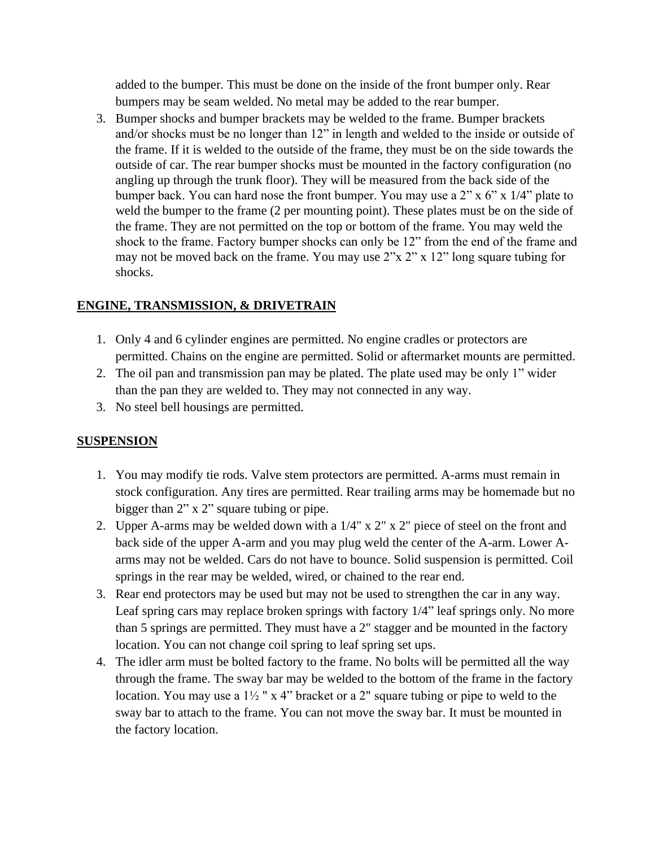added to the bumper. This must be done on the inside of the front bumper only. Rear bumpers may be seam welded. No metal may be added to the rear bumper.

3. Bumper shocks and bumper brackets may be welded to the frame. Bumper brackets and/or shocks must be no longer than 12" in length and welded to the inside or outside of the frame. If it is welded to the outside of the frame, they must be on the side towards the outside of car. The rear bumper shocks must be mounted in the factory configuration (no angling up through the trunk floor). They will be measured from the back side of the bumper back. You can hard nose the front bumper. You may use a  $2$ " x  $6$ " x  $1/4$ " plate to weld the bumper to the frame (2 per mounting point). These plates must be on the side of the frame. They are not permitted on the top or bottom of the frame. You may weld the shock to the frame. Factory bumper shocks can only be 12" from the end of the frame and may not be moved back on the frame. You may use 2"x 2" x 12" long square tubing for shocks.

## **ENGINE, TRANSMISSION, & DRIVETRAIN**

- 1. Only 4 and 6 cylinder engines are permitted. No engine cradles or protectors are permitted. Chains on the engine are permitted. Solid or aftermarket mounts are permitted.
- 2. The oil pan and transmission pan may be plated. The plate used may be only 1" wider than the pan they are welded to. They may not connected in any way.
- 3. No steel bell housings are permitted.

## **SUSPENSION**

- 1. You may modify tie rods. Valve stem protectors are permitted. A-arms must remain in stock configuration. Any tires are permitted. Rear trailing arms may be homemade but no bigger than 2" x 2" square tubing or pipe.
- 2. Upper A-arms may be welded down with a 1/4" x 2" x 2" piece of steel on the front and back side of the upper A-arm and you may plug weld the center of the A-arm. Lower Aarms may not be welded. Cars do not have to bounce. Solid suspension is permitted. Coil springs in the rear may be welded, wired, or chained to the rear end.
- 3. Rear end protectors may be used but may not be used to strengthen the car in any way. Leaf spring cars may replace broken springs with factory 1/4" leaf springs only. No more than 5 springs are permitted. They must have a 2" stagger and be mounted in the factory location. You can not change coil spring to leaf spring set ups.
- 4. The idler arm must be bolted factory to the frame. No bolts will be permitted all the way through the frame. The sway bar may be welded to the bottom of the frame in the factory location. You may use a  $1\frac{1}{2}$  " x 4" bracket or a 2" square tubing or pipe to weld to the sway bar to attach to the frame. You can not move the sway bar. It must be mounted in the factory location.